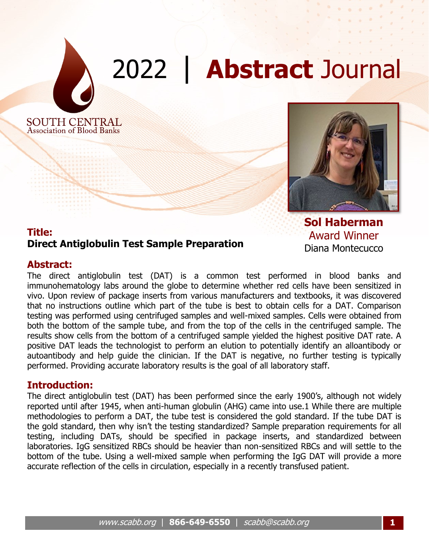

# 2022 | **Abstract** Journal

SOUTH CENTRAL **Association of Blood Banks** 



**Sol Haberman** Award Winner Diana Montecucco

# **Title: Direct Antiglobulin Test Sample Preparation**

# **Abstract:**

The direct antiglobulin test (DAT) is a common test performed in blood banks and immunohematology labs around the globe to determine whether red cells have been sensitized in vivo. Upon review of package inserts from various manufacturers and textbooks, it was discovered that no instructions outline which part of the tube is best to obtain cells for a DAT. Comparison testing was performed using centrifuged samples and well-mixed samples. Cells were obtained from both the bottom of the sample tube, and from the top of the cells in the centrifuged sample. The results show cells from the bottom of a centrifuged sample yielded the highest positive DAT rate. A positive DAT leads the technologist to perform an elution to potentially identify an alloantibody or autoantibody and help guide the clinician. If the DAT is negative, no further testing is typically performed. Providing accurate laboratory results is the goal of all laboratory staff.

# **Introduction:**

The direct antiglobulin test (DAT) has been performed since the early 1900's, although not widely reported until after 1945, when anti-human globulin (AHG) came into use.1 While there are multiple methodologies to perform a DAT, the tube test is considered the gold standard. If the tube DAT is the gold standard, then why isn't the testing standardized? Sample preparation requirements for all testing, including DATs, should be specified in package inserts, and standardized between laboratories. IgG sensitized RBCs should be heavier than non-sensitized RBCs and will settle to the bottom of the tube. Using a well-mixed sample when performing the IgG DAT will provide a more accurate reflection of the cells in circulation, especially in a recently transfused patient.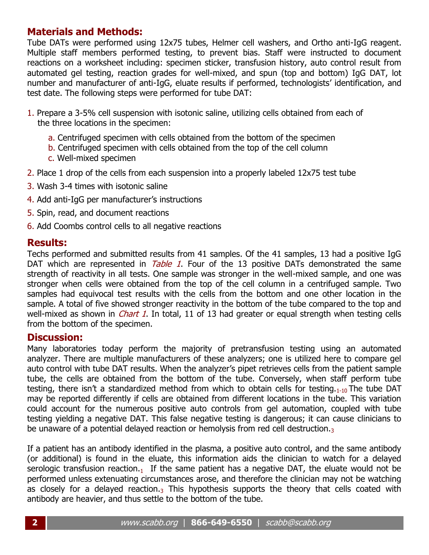# **Materials and Methods:**

Tube DATs were performed using 12x75 tubes, Helmer cell washers, and Ortho anti-IgG reagent. Multiple staff members performed testing, to prevent bias. Staff were instructed to document reactions on a worksheet including: specimen sticker, transfusion history, auto control result from automated gel testing, reaction grades for well-mixed, and spun (top and bottom) IgG DAT, lot number and manufacturer of anti-IgG, eluate results if performed, technologists' identification, and test date. The following steps were performed for tube DAT:

- 1. Prepare a 3-5% cell suspension with isotonic saline, utilizing cells obtained from each of the three locations in the specimen:
	- a. Centrifuged specimen with cells obtained from the bottom of the specimen
	- b. Centrifuged specimen with cells obtained from the top of the cell column
	- c. Well-mixed specimen
- 2. Place 1 drop of the cells from each suspension into a properly labeled 12x75 test tube
- 3. Wash 3-4 times with isotonic saline
- 4. Add anti-IgG per manufacturer's instructions
- 5. Spin, read, and document reactions
- 6. Add Coombs control cells to all negative reactions

# **Results:**

Techs performed and submitted results from 41 samples. Of the 41 samples, 13 had a positive IgG DAT which are represented in *Table 1*. Four of the 13 positive DATs demonstrated the same strength of reactivity in all tests. One sample was stronger in the well-mixed sample, and one was stronger when cells were obtained from the top of the cell column in a centrifuged sample. Two samples had equivocal test results with the cells from the bottom and one other location in the sample. A total of five showed stronger reactivity in the bottom of the tube compared to the top and well-mixed as shown in *Chart 1*. In total, 11 of 13 had greater or equal strength when testing cells from the bottom of the specimen.

# **Discussion:**

Many laboratories today perform the majority of pretransfusion testing using an automated analyzer. There are multiple manufacturers of these analyzers; one is utilized here to compare gel auto control with tube DAT results. When the analyzer's pipet retrieves cells from the patient sample tube, the cells are obtained from the bottom of the tube. Conversely, when staff perform tube testing, there isn't a standardized method from which to obtain cells for testing.<sub>1-10</sub> The tube DAT may be reported differently if cells are obtained from different locations in the tube. This variation could account for the numerous positive auto controls from gel automation, coupled with tube testing yielding a negative DAT. This false negative testing is dangerous; it can cause clinicians to be unaware of a potential delayed reaction or hemolysis from red cell destruction.3

If a patient has an antibody identified in the plasma, a positive auto control, and the same antibody (or additional) is found in the eluate, this information aids the clinician to watch for a delayed serologic transfusion reaction.<sub>1</sub> If the same patient has a negative DAT, the eluate would not be performed unless extenuating circumstances arose, and therefore the clinician may not be watching as closely for a delayed reaction. $_3$  This hypothesis supports the theory that cells coated with antibody are heavier, and thus settle to the bottom of the tube.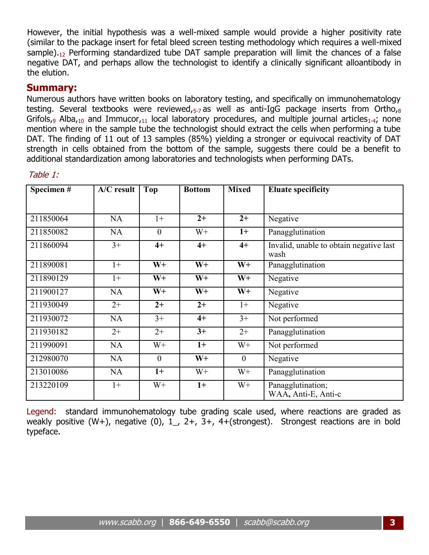However, the initial hypothesis was a well-mixed sample would provide a higher positivity rate (similar to the package insert for fetal bleed screen testing methodology which requires a well-mixed sample).<sub>12</sub> Performing standardized tube DAT sample preparation will limit the chances of a false negative DAT, and perhaps allow the technologist to identify a clinically significant alloantibody in the elution.

# **Summary:**

Numerous authors have written books on laboratory testing, and specifically on immunohematology testing. Several textbooks were reviewed, $_{5}$ -zas well as anti-IgG package inserts from Ortho, $_8$ Grifols<sub>,9</sub> Alba<sub>,10</sub> and Immucor,<sub>11</sub> local laboratory procedures, and multiple journal articles<sub>1-4</sub>; none mention where in the sample tube the technologist should extract the cells when performing a tube DAT. The finding of 11 out of 13 samples (85%) yielding a stronger or equivocal reactivity of DAT strength in cells obtained from the bottom of the sample, suggests there could be a benefit to additional standardization among laboratories and technologists when performing DATs.

| Specimen# | $\overline{A}/C$ result | <b>Top</b>   | <b>Bottom</b> | <b>Mixed</b> | <b>Eluate specificity</b>                       |
|-----------|-------------------------|--------------|---------------|--------------|-------------------------------------------------|
|           |                         |              |               |              |                                                 |
| 211850064 | <b>NA</b>               | $1+$         | $2+$          | $2+$         | Negative                                        |
| 211850082 | <b>NA</b>               | $\theta$     | $W+$          | $1+$         | Panagglutination                                |
| 211860094 | $3+$                    | $4+$         | $4+$          | $4+$         | Invalid, unable to obtain negative last<br>wash |
| 211890081 | $1+$                    | $W+$         | $W+$          | $W+$         | Panagglutination                                |
| 211890129 | $1+$                    | $W+$         | $W+$          | $W+$         | Negative                                        |
| 211900127 | <b>NA</b>               | $W+$         | $W+$          | $W+$         | Negative                                        |
| 211930049 | $2+$                    | $2+$         | $2+$          | $1+$         | Negative                                        |
| 211930072 | <b>NA</b>               | $3+$         | $4+$          | $3+$         | Not performed                                   |
| 211930182 | $2+$                    | $2+$         | $3+$          | $2+$         | Panagglutination                                |
| 211990091 | <b>NA</b>               | $W+$         | $1+$          | $W+$         | Not performed                                   |
| 212980070 | <b>NA</b>               | $\mathbf{0}$ | $W+$          | $\mathbf{0}$ | Negative                                        |
| 213010086 | <b>NA</b>               | $1+$         | $W+$          | $W+$         | Panagglutination                                |
| 213220109 | $1+$                    | $W+$         | $1+$          | $W+$         | Panagglutination;<br>WAA, Anti-E, Anti-c        |

### Table 1:

Legend: standard immunohematology tube grading scale used, where reactions are graded as weakly positive (W+), negative (0),  $1$ , 2+, 3+, 4+(strongest). Strongest reactions are in bold typeface.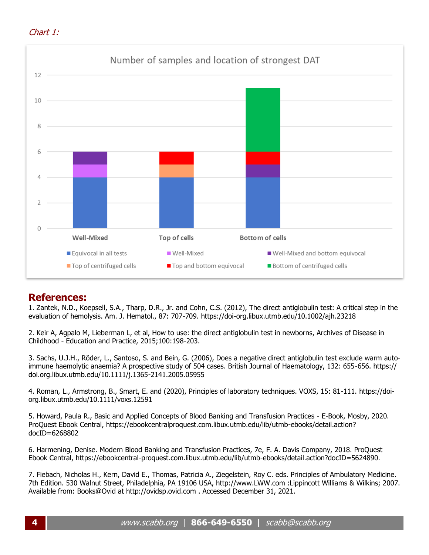



# **References:**

1. Zantek, N.D., Koepsell, S.A., Tharp, D.R., Jr. and Cohn, C.S. (2012), The direct antiglobulin test: A critical step in the evaluation of hemolysis. Am. J. Hematol., 87: 707-709. https://doi-org.libux.utmb.edu/10.1002/ajh.23218

2. Keir A, Agpalo M, Lieberman L, et al, How to use: the direct antiglobulin test in newborns, Archives of Disease in Childhood - Education and Practice, 2015;100:198-203.

3. Sachs, U.J.H., Röder, L., Santoso, S. and Bein, G. (2006), Does a negative direct antiglobulin test exclude warm autoimmune haemolytic anaemia? A prospective study of 504 cases. British Journal of Haematology, 132: 655-656. https:// doi.org.libux.utmb.edu/10.1111/j.1365-2141.2005.05955

4. Roman, L., Armstrong, B., Smart, E. and (2020), Principles of laboratory techniques. VOXS, 15: 81-111. https://doiorg.libux.utmb.edu/10.1111/voxs.12591

5. Howard, Paula R., Basic and Applied Concepts of Blood Banking and Transfusion Practices - E-Book, Mosby, 2020. ProQuest Ebook Central, https://ebookcentralproquest.com.libux.utmb.edu/lib/utmb-ebooks/detail.action? docID=6268802

6. Harmening, Denise. Modern Blood Banking and Transfusion Practices, 7e, F. A. Davis Company, 2018. ProQuest Ebook Central, https://ebookcentral-proquest.com.libux.utmb.edu/lib/utmb-ebooks/detail.action?docID=5624890.

7. Fiebach, Nicholas H., Kern, David E., Thomas, Patricia A., Ziegelstein, Roy C. eds. Principles of Ambulatory Medicine. 7th Edition. 530 Walnut Street, Philadelphia, PA 19106 USA, http://www.LWW.com :Lippincott Williams & Wilkins; 2007. Available from: Books@Ovid at http://ovidsp.ovid.com . Accessed December 31, 2021.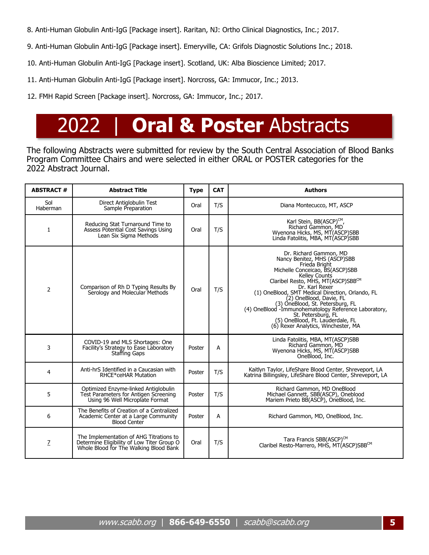- 8. Anti-Human Globulin Anti-IgG [Package insert]. Raritan, NJ: Ortho Clinical Diagnostics, Inc.; 2017.
- 9. Anti-Human Globulin Anti-IgG [Package insert]. Emeryville, CA: Grifols Diagnostic Solutions Inc.; 2018.
- 10. Anti-Human Globulin Anti-IgG [Package insert]. Scotland, UK: Alba Bioscience Limited; 2017.
- 11. Anti-Human Globulin Anti-IgG [Package insert]. Norcross, GA: Immucor, Inc.; 2013.
- 12. FMH Rapid Screen [Package insert]. Norcross, GA: Immucor, Inc.; 2017.

# 2022 | **Oral & Poster** Abstracts

The following Abstracts were submitted for review by the South Central Association of Blood Banks Program Committee Chairs and were selected in either ORAL or POSTER categories for the 2022 Abstract Journal.

| <b>ABSTRACT#</b> | <b>Abstract Title</b>                                                                                                           | <b>Type</b> | <b>CAT</b> | <b>Authors</b>                                                                                                                                                                                                                                                                                                                                                                                                                                                  |
|------------------|---------------------------------------------------------------------------------------------------------------------------------|-------------|------------|-----------------------------------------------------------------------------------------------------------------------------------------------------------------------------------------------------------------------------------------------------------------------------------------------------------------------------------------------------------------------------------------------------------------------------------------------------------------|
| Sol<br>Haberman  | Direct Antiglobulin Test<br>Sample Preparation                                                                                  | Oral        | T/S        | Diana Montecucco, MT, ASCP                                                                                                                                                                                                                                                                                                                                                                                                                                      |
| 1                | Reducing Stat Turnaround Time to<br>Assess Potential Cost Savings Using<br>Lean Six Sigma Methods                               | Oral        | T/S        | Karl Stein, BB(ASCP) <sup>CM</sup> ,<br>Richard Gammon, MD<br>Wyenona Hicks, MS, MT(ASCP)SBB<br>Linda Fatolitis, MBA, MT(ASCP)SBB                                                                                                                                                                                                                                                                                                                               |
| $\overline{2}$   | Comparison of Rh D Typing Results By<br>Serology and Molecular Methods                                                          | Oral        | T/S        | Dr. Richard Gammon, MD<br>Nancy Benitez, MHS (ASCP)SBB<br>Frieda Bright<br>Michelle Conceicao, BS(ASCP)SBB<br>Kelley Counts<br>Claribel Resto, MHS, MT(ASCP)SBBCM<br>Dr. Karl Rexer<br>(1) OneBlood, SMT Medical Direction, Orlando, FL<br>(2) OneBlood, Davie, FL<br>(3) OneBlood, St. Petersburg, FL<br>(4) OneBlood -Immunohematology Reference Laboratory,<br>St. Petersburg, FL<br>(5) OneBlood, Ft. Lauderdale, FL<br>(6) Rexer Analytics, Winchester, MA |
| 3                | COVID-19 and MLS Shortages: One<br>Facility's Strategy to Ease Laboratory<br>Staffing Gaps                                      | Poster      | A          | Linda Fatolitis, MBA, MT(ASCP)SBB<br>Richard Gammon, MD<br>Wyenona Hicks, MS, MT(ASCP)SBB<br>OneBlood, Inc.                                                                                                                                                                                                                                                                                                                                                     |
| 4                | Anti-hrS Identified in a Caucasian with<br>RHCE*ceHAR Mutation                                                                  | Poster      | T/S        | Kaitlyn Taylor, LifeShare Blood Center, Shreveport, LA<br>Katrina Billingsley, LifeShare Blood Center, Shreveport, LA                                                                                                                                                                                                                                                                                                                                           |
| 5                | Optimized Enzyme-linked Antiglobulin<br>Test Parameters for Antigen Screening<br>Using 96 Well Microplate Format                | Poster      | T/S        | Richard Gammon, MD OneBlood<br>Michael Gannett, SBB(ASCP), Oneblood<br>Mariem Prieto BB(ASCP), OneBlood, Inc.                                                                                                                                                                                                                                                                                                                                                   |
| 6                | The Benefits of Creation of a Centralized<br>Academic Center at a Large Community<br><b>Blood Center</b>                        | Poster      | A          | Richard Gammon, MD, OneBlood, Inc.                                                                                                                                                                                                                                                                                                                                                                                                                              |
| $\overline{Z}$   | The Implementation of AHG Titrations to<br>Determine Eligibility of Low Titer Group O<br>Whole Blood for The Walking Blood Bank | Oral        | T/S        | Tara Francis SBB(ASCP) <sup>CM</sup><br>Claribel Resto-Marrero, MHS, MT(ASCP)SBBCM                                                                                                                                                                                                                                                                                                                                                                              |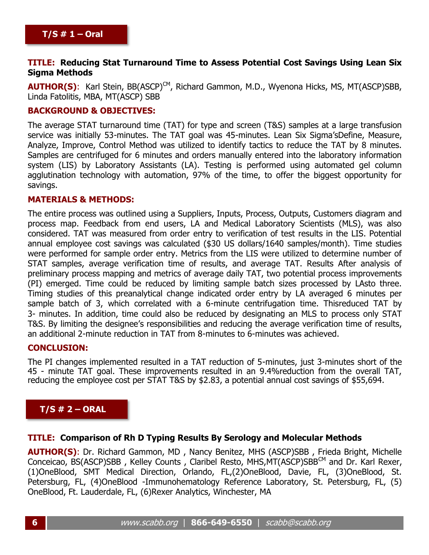#### **TITLE: Reducing Stat Turnaround Time to Assess Potential Cost Savings Using Lean Six Sigma Methods**

**AUTHOR(S)**: Karl Stein, BB(ASCP)<sup>CM</sup>, Richard Gammon, M.D., Wyenona Hicks, MS, MT(ASCP)SBB, Linda Fatolitis, MBA, MT(ASCP) SBB

#### **BACKGROUND & OBJECTIVES:**

The average STAT turnaround time (TAT) for type and screen (T&S) samples at a large transfusion service was initially 53-minutes. The TAT goal was 45-minutes. Lean Six Sigma'sDefine, Measure, Analyze, Improve, Control Method was utilized to identify tactics to reduce the TAT by 8 minutes. Samples are centrifuged for 6 minutes and orders manually entered into the laboratory information system (LIS) by Laboratory Assistants (LA). Testing is performed using automated gel column agglutination technology with automation, 97% of the time, to offer the biggest opportunity for savings.

#### **MATERIALS & METHODS:**

The entire process was outlined using a Suppliers, Inputs, Process, Outputs, Customers diagram and process map. Feedback from end users, LA and Medical Laboratory Scientists (MLS), was also considered. TAT was measured from order entry to verification of test results in the LIS. Potential annual employee cost savings was calculated (\$30 US dollars/1640 samples/month). Time studies were performed for sample order entry. Metrics from the LIS were utilized to determine number of STAT samples, average verification time of results, and average TAT. Results After analysis of preliminary process mapping and metrics of average daily TAT, two potential process improvements (PI) emerged. Time could be reduced by limiting sample batch sizes processed by LAsto three. Timing studies of this preanalytical change indicated order entry by LA averaged 6 minutes per sample batch of 3, which correlated with a 6-minute centrifugation time. Thisreduced TAT by 3- minutes. In addition, time could also be reduced by designating an MLS to process only STAT T&S. By limiting the designee's responsibilities and reducing the average verification time of results, an additional 2-minute reduction in TAT from 8-minutes to 6-minutes was achieved.

#### **CONCLUSION:**

The PI changes implemented resulted in a TAT reduction of 5-minutes, just 3-minutes short of the 45 - minute TAT goal. These improvements resulted in an 9.4%reduction from the overall TAT, reducing the employee cost per STAT T&S by \$2.83, a potential annual cost savings of \$55,694.

# **T/S # 2 – ORAL**

#### **TITLE: Comparison of Rh D Typing Results By Serology and Molecular Methods**

**AUTHOR(S)**: Dr. Richard Gammon, MD , Nancy Benitez, MHS (ASCP)SBB , Frieda Bright, Michelle Conceicao, BS(ASCP)SBB , Kelley Counts , Claribel Resto, MHS,MT(ASCP)SBBCM and Dr. Karl Rexer, (1)OneBlood, SMT Medical Direction, Orlando, FL,(2)OneBlood, Davie, FL, (3)OneBlood, St. Petersburg, FL, (4)OneBlood -Immunohematology Reference Laboratory, St. Petersburg, FL, (5) OneBlood, Ft. Lauderdale, FL, (6)Rexer Analytics, Winchester, MA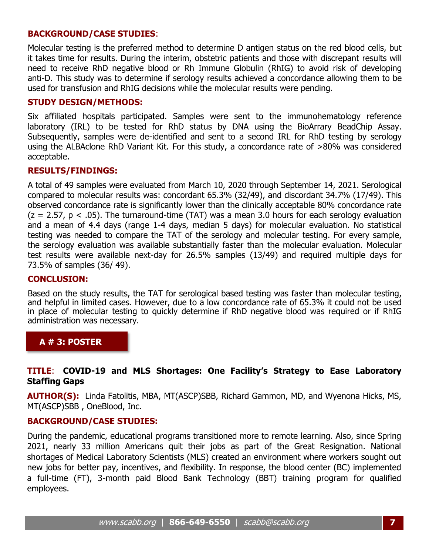#### **BACKGROUND/CASE STUDIES**:

Molecular testing is the preferred method to determine D antigen status on the red blood cells, but it takes time for results. During the interim, obstetric patients and those with discrepant results will need to receive RhD negative blood or Rh Immune Globulin (RhIG) to avoid risk of developing anti-D. This study was to determine if serology results achieved a concordance allowing them to be used for transfusion and RhIG decisions while the molecular results were pending.

#### **STUDY DESIGN/METHODS:**

Six affiliated hospitals participated. Samples were sent to the immunohematology reference laboratory (IRL) to be tested for RhD status by DNA using the BioArrary BeadChip Assay. Subsequently, samples were de-identified and sent to a second IRL for RhD testing by serology using the ALBAclone RhD Variant Kit. For this study, a concordance rate of >80% was considered acceptable.

#### **RESULTS/FINDINGS:**

A total of 49 samples were evaluated from March 10, 2020 through September 14, 2021. Serological compared to molecular results was: concordant 65.3% (32/49), and discordant 34.7% (17/49). This observed concordance rate is significantly lower than the clinically acceptable 80% concordance rate  $(z = 2.57, p < .05)$ . The turnaround-time (TAT) was a mean 3.0 hours for each serology evaluation and a mean of 4.4 days (range 1-4 days, median 5 days) for molecular evaluation. No statistical testing was needed to compare the TAT of the serology and molecular testing. For every sample, the serology evaluation was available substantially faster than the molecular evaluation. Molecular test results were available next-day for 26.5% samples (13/49) and required multiple days for 73.5% of samples (36/ 49).

#### **CONCLUSION:**

Based on the study results, the TAT for serological based testing was faster than molecular testing, and helpful in limited cases. However, due to a low concordance rate of 65.3% it could not be used in place of molecular testing to quickly determine if RhD negative blood was required or if RhIG administration was necessary.

# **A # 3: POSTER**

#### **TITLE**: **COVID-19 and MLS Shortages: One Facility's Strategy to Ease Laboratory Staffing Gaps**

**AUTHOR(S):** Linda Fatolitis, MBA, MT(ASCP)SBB, Richard Gammon, MD, and Wyenona Hicks, MS, MT(ASCP)SBB , OneBlood, Inc.

#### **BACKGROUND/CASE STUDIES:**

During the pandemic, educational programs transitioned more to remote learning. Also, since Spring 2021, nearly 33 million Americans quit their jobs as part of the Great Resignation. National shortages of Medical Laboratory Scientists (MLS) created an environment where workers sought out new jobs for better pay, incentives, and flexibility. In response, the blood center (BC) implemented a full-time (FT), 3-month paid Blood Bank Technology (BBT) training program for qualified employees.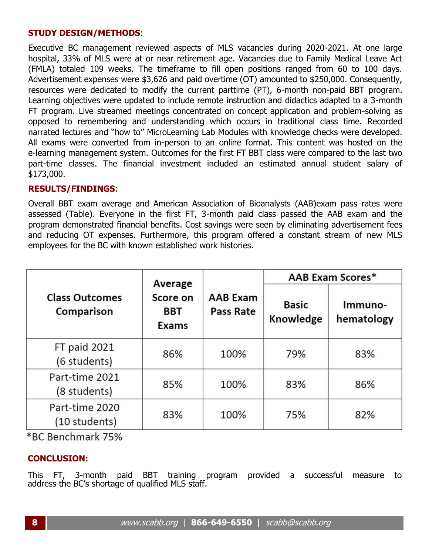#### **STUDY DESIGN/METHODS**:

Executive BC management reviewed aspects of MLS vacancies during 2020-2021. At one large hospital, 33% of MLS were at or near retirement age. Vacancies due to Family Medical Leave Act (FMLA) totaled 109 weeks. The timeframe to fill open positions ranged from 60 to 100 days. Advertisement expenses were \$3,626 and paid overtime (OT) amounted to \$250,000. Consequently, resources were dedicated to modify the current parttime (PT), 6-month non-paid BBT program. Learning objectives were updated to include remote instruction and didactics adapted to a 3-month FT program. Live streamed meetings concentrated on concept application and problem-solving as opposed to remembering and understanding which occurs in traditional class time. Recorded narrated lectures and "how to" MicroLearning Lab Modules with knowledge checks were developed. All exams were converted from in-person to an online format. This content was hosted on the e-learning management system. Outcomes for the first FT BBT class were compared to the last two part-time classes. The financial investment included an estimated annual student salary of \$173,000.

#### **RESULTS/FINDINGS**:

Overall BBT exam average and American Association of Bioanalysts (AAB)exam pass rates were assessed (Table). Everyone in the first FT, 3-month paid class passed the AAB exam and the program demonstrated financial benefits. Cost savings were seen by eliminating advertisement fees and reducing OT expenses. Furthermore, this program offered a constant stream of new MLS employees for the BC with known established work histories.

|                                     | Average                                |                                     | <b>AAB Exam Scores*</b>   |                       |  |  |
|-------------------------------------|----------------------------------------|-------------------------------------|---------------------------|-----------------------|--|--|
| <b>Class Outcomes</b><br>Comparison | Score on<br><b>BBT</b><br><b>Exams</b> | <b>AAB Exam</b><br><b>Pass Rate</b> | <b>Basic</b><br>Knowledge | Immuno-<br>hematology |  |  |
| FT paid 2021<br>(6 students)        | 86%                                    | 100%                                | 79%                       | 83%                   |  |  |
| Part-time 2021<br>(8 students)      | 85%                                    | 100%                                | 83%                       | 86%                   |  |  |
| Part-time 2020<br>(10 students)     | 83%                                    | 100%                                | 75%                       | 82%                   |  |  |

\*BC Benchmark 75%

#### **CONCLUSION:**

This FT, 3-month paid BBT training program provided a successful measure to address the BC's shortage of qualified MLS staff.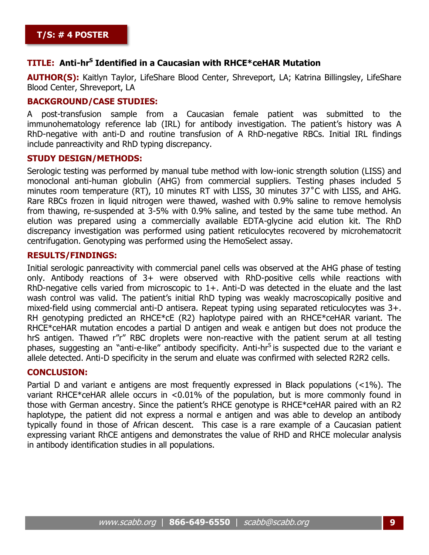#### **TITLE: Anti-hr<sup>S</sup> Identified in a Caucasian with RHCE\*ceHAR Mutation**

**AUTHOR(S):** Kaitlyn Taylor, LifeShare Blood Center, Shreveport, LA; Katrina Billingsley, LifeShare Blood Center, Shreveport, LA

#### **BACKGROUND/CASE STUDIES:**

A post-transfusion sample from a Caucasian female patient was submitted to the immunohematology reference lab (IRL) for antibody investigation. The patient's history was A RhD-negative with anti-D and routine transfusion of A RhD-negative RBCs. Initial IRL findings include panreactivity and RhD typing discrepancy.

#### **STUDY DESIGN/METHODS:**

Serologic testing was performed by manual tube method with low-ionic strength solution (LISS) and monoclonal anti-human globulin (AHG) from commercial suppliers. Testing phases included 5 minutes room temperature (RT), 10 minutes RT with LISS, 30 minutes 37˚C with LISS, and AHG. Rare RBCs frozen in liquid nitrogen were thawed, washed with 0.9% saline to remove hemolysis from thawing, re-suspended at 3-5% with 0.9% saline, and tested by the same tube method. An elution was prepared using a commercially available EDTA-glycine acid elution kit. The RhD discrepancy investigation was performed using patient reticulocytes recovered by microhematocrit centrifugation. Genotyping was performed using the HemoSelect assay.

#### **RESULTS/FINDINGS:**

Initial serologic panreactivity with commercial panel cells was observed at the AHG phase of testing only. Antibody reactions of 3+ were observed with RhD-positive cells while reactions with RhD-negative cells varied from microscopic to 1+. Anti-D was detected in the eluate and the last wash control was valid. The patient's initial RhD typing was weakly macroscopically positive and mixed-field using commercial anti-D antisera. Repeat typing using separated reticulocytes was 3+. RH genotyping predicted an RHCE\*cE (R2) haplotype paired with an RHCE\*ceHAR variant. The RHCE\*ceHAR mutation encodes a partial D antigen and weak e antigen but does not produce the hrS antigen. Thawed r"r" RBC droplets were non-reactive with the patient serum at all testing phases, suggesting an "anti-e-like" antibody specificity. Anti-hr<sup>S</sup> is suspected due to the variant e allele detected. Anti-D specificity in the serum and eluate was confirmed with selected R2R2 cells.

#### **CONCLUSION:**

Partial D and variant e antigens are most frequently expressed in Black populations (<1%). The variant RHCE\*ceHAR allele occurs in <0.01% of the population, but is more commonly found in those with German ancestry. Since the patient's RHCE genotype is RHCE\*ceHAR paired with an R2 haplotype, the patient did not express a normal e antigen and was able to develop an antibody typically found in those of African descent. This case is a rare example of a Caucasian patient expressing variant RhCE antigens and demonstrates the value of RHD and RHCE molecular analysis in antibody identification studies in all populations.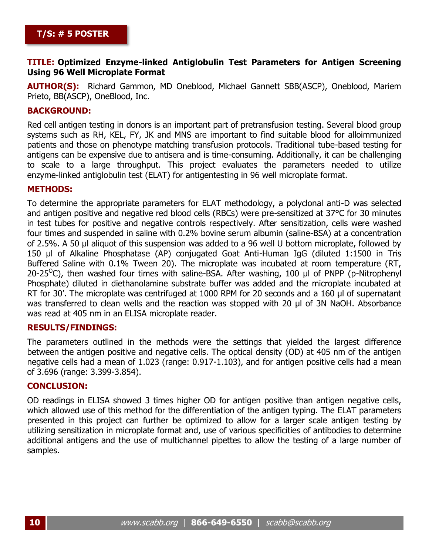#### **TITLE: Optimized Enzyme-linked Antiglobulin Test Parameters for Antigen Screening Using 96 Well Microplate Format**

**AUTHOR(S):** Richard Gammon, MD Oneblood, Michael Gannett SBB(ASCP), Oneblood, Mariem Prieto, BB(ASCP), OneBlood, Inc.

#### **BACKGROUND:**

Red cell antigen testing in donors is an important part of pretransfusion testing. Several blood group systems such as RH, KEL, FY, JK and MNS are important to find suitable blood for alloimmunized patients and those on phenotype matching transfusion protocols. Traditional tube-based testing for antigens can be expensive due to antisera and is time-consuming. Additionally, it can be challenging to scale to a large throughput. This project evaluates the parameters needed to utilize enzyme-linked antiglobulin test (ELAT) for antigentesting in 96 well microplate format.

#### **METHODS:**

To determine the appropriate parameters for ELAT methodology, a polyclonal anti-D was selected and antigen positive and negative red blood cells (RBCs) were pre-sensitized at 37°C for 30 minutes in test tubes for positive and negative controls respectively. After sensitization, cells were washed four times and suspended in saline with 0.2% bovine serum albumin (saline-BSA) at a concentration of 2.5%. A 50 µl aliquot of this suspension was added to a 96 well U bottom microplate, followed by 150 µl of Alkaline Phosphatase (AP) conjugated Goat Anti-Human IgG (diluted 1:1500 in Tris Buffered Saline with 0.1% Tween 20). The microplate was incubated at room temperature (RT, 20-25<sup>O</sup>C), then washed four times with saline-BSA. After washing, 100  $\mu$ l of PNPP (p-Nitrophenyl Phosphate) diluted in diethanolamine substrate buffer was added and the microplate incubated at RT for 30'. The microplate was centrifuged at 1000 RPM for 20 seconds and a 160 ul of supernatant was transferred to clean wells and the reaction was stopped with 20 µl of 3N NaOH. Absorbance was read at 405 nm in an ELISA microplate reader.

#### **RESULTS/FINDINGS:**

The parameters outlined in the methods were the settings that yielded the largest difference between the antigen positive and negative cells. The optical density (OD) at 405 nm of the antigen negative cells had a mean of 1.023 (range: 0.917-1.103), and for antigen positive cells had a mean of 3.696 (range: 3.399-3.854).

#### **CONCLUSION:**

OD readings in ELISA showed 3 times higher OD for antigen positive than antigen negative cells, which allowed use of this method for the differentiation of the antigen typing. The ELAT parameters presented in this project can further be optimized to allow for a larger scale antigen testing by utilizing sensitization in microplate format and, use of various specificities of antibodies to determine additional antigens and the use of multichannel pipettes to allow the testing of a large number of samples.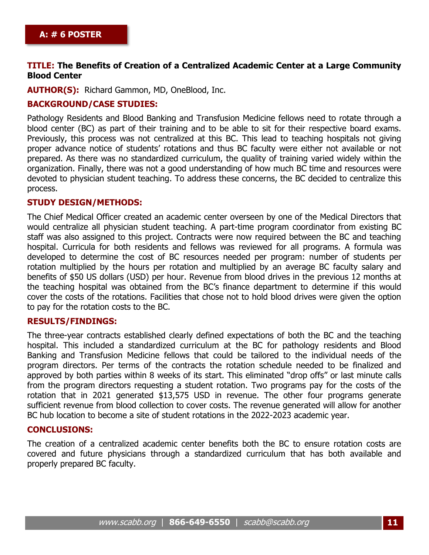#### **TITLE: The Benefits of Creation of a Centralized Academic Center at a Large Community Blood Center**

**AUTHOR(S):** Richard Gammon, MD, OneBlood, Inc.

#### **BACKGROUND/CASE STUDIES:**

Pathology Residents and Blood Banking and Transfusion Medicine fellows need to rotate through a blood center (BC) as part of their training and to be able to sit for their respective board exams. Previously, this process was not centralized at this BC. This lead to teaching hospitals not giving proper advance notice of students' rotations and thus BC faculty were either not available or not prepared. As there was no standardized curriculum, the quality of training varied widely within the organization. Finally, there was not a good understanding of how much BC time and resources were devoted to physician student teaching. To address these concerns, the BC decided to centralize this process.

#### **STUDY DESIGN/METHODS:**

The Chief Medical Officer created an academic center overseen by one of the Medical Directors that would centralize all physician student teaching. A part-time program coordinator from existing BC staff was also assigned to this project. Contracts were now required between the BC and teaching hospital. Curricula for both residents and fellows was reviewed for all programs. A formula was developed to determine the cost of BC resources needed per program: number of students per rotation multiplied by the hours per rotation and multiplied by an average BC faculty salary and benefits of \$50 US dollars (USD) per hour. Revenue from blood drives in the previous 12 months at the teaching hospital was obtained from the BC's finance department to determine if this would cover the costs of the rotations. Facilities that chose not to hold blood drives were given the option to pay for the rotation costs to the BC.

#### **RESULTS/FINDINGS:**

The three-year contracts established clearly defined expectations of both the BC and the teaching hospital. This included a standardized curriculum at the BC for pathology residents and Blood Banking and Transfusion Medicine fellows that could be tailored to the individual needs of the program directors. Per terms of the contracts the rotation schedule needed to be finalized and approved by both parties within 8 weeks of its start. This eliminated "drop offs" or last minute calls from the program directors requesting a student rotation. Two programs pay for the costs of the rotation that in 2021 generated \$13,575 USD in revenue. The other four programs generate sufficient revenue from blood collection to cover costs. The revenue generated will allow for another BC hub location to become a site of student rotations in the 2022-2023 academic year.

#### **CONCLUSIONS:**

The creation of a centralized academic center benefits both the BC to ensure rotation costs are covered and future physicians through a standardized curriculum that has both available and properly prepared BC faculty.